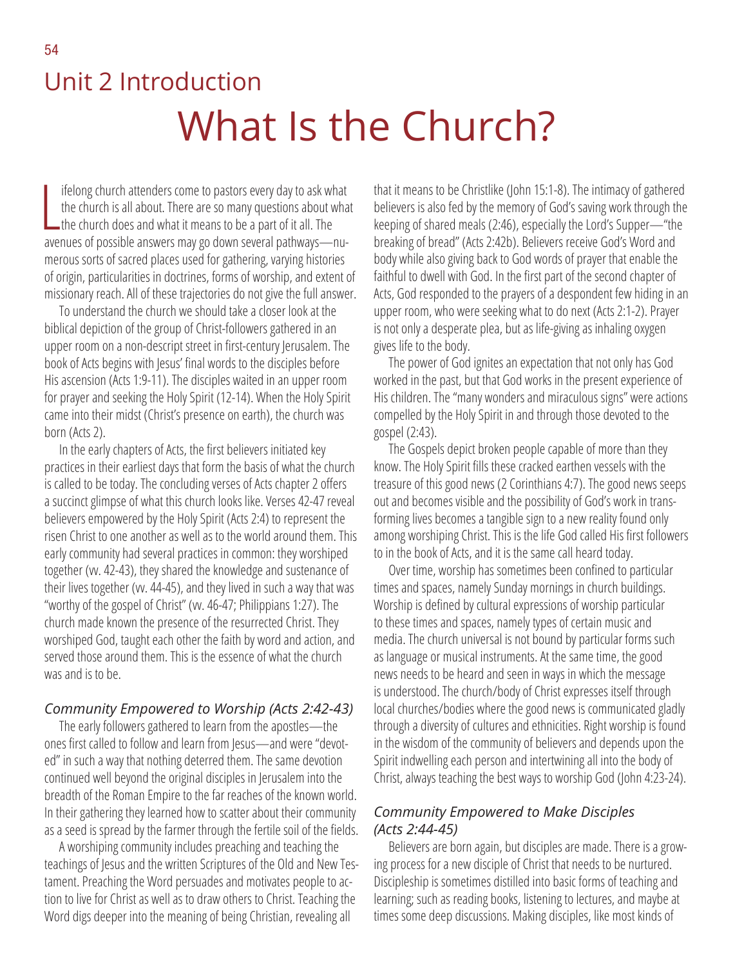# Unit 2 Introduction What Is the Church?

If elong church attenders come to pastors every day to ask where church is all about. There are so many questions about v<br>the church does and what it means to be a part of it all. The ifelong church attenders come to pastors every day to ask what the church is all about. There are so many questions about what avenues of possible answers may go down several pathways—numerous sorts of sacred places used for gathering, varying histories of origin, particularities in doctrines, forms of worship, and extent of missionary reach. All of these trajectories do not give the full answer.

To understand the church we should take a closer look at the biblical depiction of the group of Christ-followers gathered in an upper room on a non-descript street in first-century Jerusalem. The book of Acts begins with Jesus' final words to the disciples before His ascension (Acts 1:9-11). The disciples waited in an upper room for prayer and seeking the Holy Spirit (12-14). When the Holy Spirit came into their midst (Christ's presence on earth), the church was born (Acts 2).

In the early chapters of Acts, the first believers initiated key practices in their earliest days that form the basis of what the church is called to be today. The concluding verses of Acts chapter 2 offers a succinct glimpse of what this church looks like. Verses 42-47 reveal believers empowered by the Holy Spirit (Acts 2:4) to represent the risen Christ to one another as well as to the world around them. This early community had several practices in common: they worshiped together (vv. 42-43), they shared the knowledge and sustenance of their lives together (w. 44-45), and they lived in such a way that was "worthy of the gospel of Christ" (vv. 46-47; Philippians 1:27). The church made known the presence of the resurrected Christ. They worshiped God, taught each other the faith by word and action, and served those around them. This is the essence of what the church was and is to be.

### *Community Empowered to Worship (Acts 2:42-43)*

The early followers gathered to learn from the apostles—the ones first called to follow and learn from Jesus—and were "devoted" in such a way that nothing deterred them. The same devotion continued well beyond the original disciples in Jerusalem into the breadth of the Roman Empire to the far reaches of the known world. In their gathering they learned how to scatter about their community as a seed is spread by the farmer through the fertile soil of the fields.

A worshiping community includes preaching and teaching the teachings of Jesus and the written Scriptures of the Old and New Testament. Preaching the Word persuades and motivates people to action to live for Christ as well as to draw others to Christ. Teaching the Word digs deeper into the meaning of being Christian, revealing all

that it means to be Christlike (John 15:1-8). The intimacy of gathered believers is also fed by the memory of God's saving work through the keeping of shared meals (2:46), especially the Lord's Supper—"the breaking of bread" (Acts 2:42b). Believers receive God's Word and body while also giving back to God words of prayer that enable the faithful to dwell with God. In the first part of the second chapter of Acts, God responded to the prayers of a despondent few hiding in an upper room, who were seeking what to do next (Acts 2:1-2). Prayer is not only a desperate plea, but as life-giving as inhaling oxygen gives life to the body.

The power of God ignites an expectation that not only has God worked in the past, but that God works in the present experience of His children. The "many wonders and miraculous signs" were actions compelled by the Holy Spirit in and through those devoted to the gospel (2:43).

The Gospels depict broken people capable of more than they know. The Holy Spirit fills these cracked earthen vessels with the treasure of this good news (2 Corinthians 4:7). The good news seeps out and becomes visible and the possibility of God's work in transforming lives becomes a tangible sign to a new reality found only among worshiping Christ. This is the life God called His first followers to in the book of Acts, and it is the same call heard today.

Over time, worship has sometimes been confined to particular times and spaces, namely Sunday mornings in church buildings. Worship is defined by cultural expressions of worship particular to these times and spaces, namely types of certain music and media. The church universal is not bound by particular forms such as language or musical instruments. At the same time, the good news needs to be heard and seen in ways in which the message is understood. The church/body of Christ expresses itself through local churches/bodies where the good news is communicated gladly through a diversity of cultures and ethnicities. Right worship is found in the wisdom of the community of believers and depends upon the Spirit indwelling each person and intertwining all into the body of Christ, always teaching the best ways to worship God (John 4:23-24).

## *Community Empowered to Make Disciples (Acts 2:44-45)*

Believers are born again, but disciples are made. There is a growing process for a new disciple of Christ that needs to be nurtured. Discipleship is sometimes distilled into basic forms of teaching and learning; such as reading books, listening to lectures, and maybe at times some deep discussions. Making disciples, like most kinds of